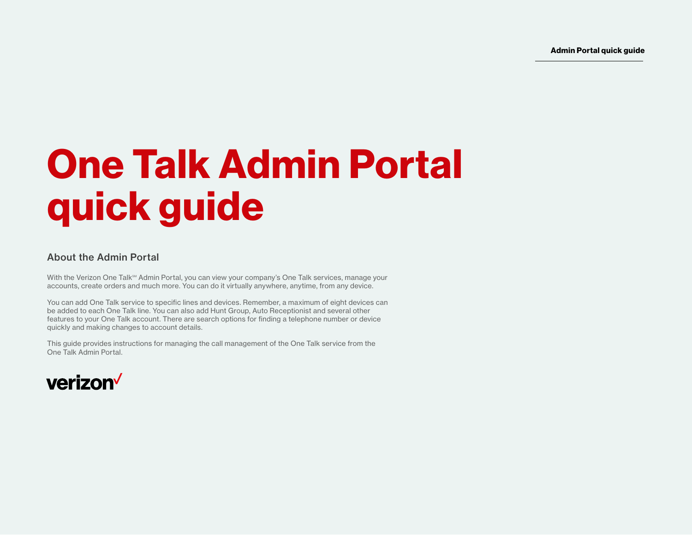Admin Portal quick guide

# <span id="page-0-0"></span>One Talk Admin Portal quick guide

## About the Admin Portal

With the Verizon One Talk<sup>SM</sup> Admin Portal, you can view your company's One Talk services, manage your accounts, create orders and much more. You can do it virtually anywhere, anytime, from any device.

You can add One Talk service to specific lines and devices. Remember, a maximum of eight devices can be added to each One Talk line. You can also add Hunt Group, Auto Receptionist and several other features to your One Talk account. There are search options for finding a telephone number or device quickly and making changes to account details.

This guide provides instructions for managing the call management of the One Talk service from the One Talk Admin Portal.

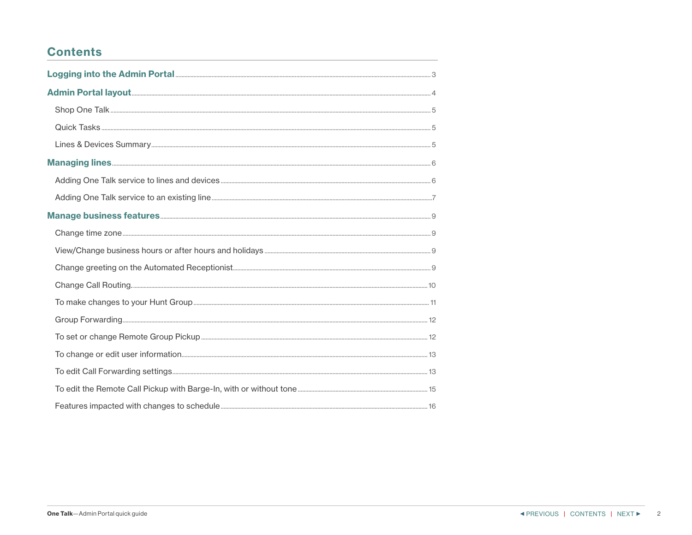# <span id="page-1-0"></span>**Contents**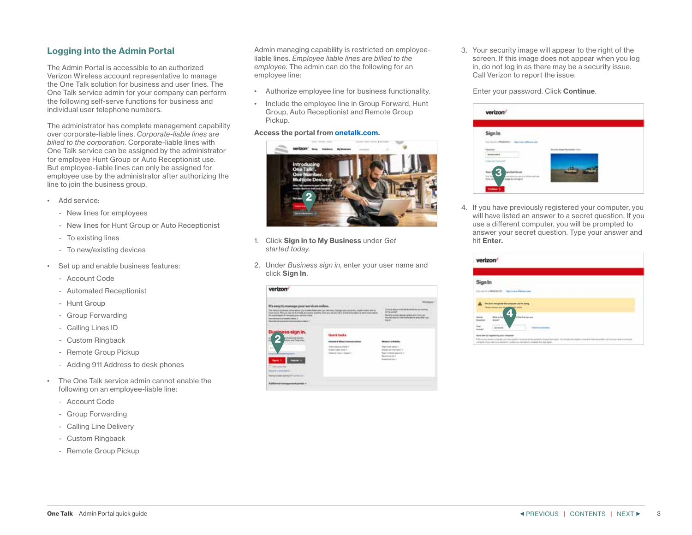## <span id="page-2-0"></span>Logging into the Admin Portal

The Admin Portal is accessible to an authorized Verizon Wireless account representative to manage the One Talk solution for business and user lines. The One Talk service admin for your company can perform the following self-serve functions for business and individual user telephone numbers.

The administrator has complete management capability over corporate-liable lines. *Corporate-liable lines are billed to the corporation.* Corporate-liable lines with One Talk service can be assigned by the administrator for employee Hunt Group or Auto Receptionist use. But employee-liable lines can only be assigned for employee use by the administrator after authorizing the line to join the business group.

- Add service:
	- New lines for employees
	- New lines for Hunt Group or Auto Receptionist
	- To existing lines
	- To new/existing devices
- Set up and enable business features:
	- Account Code
	- Automated Receptionist
	- Hunt Group
	- Group Forwarding
	- Calling Lines ID
	- Custom Ringback
	- Remote Group Pickup
	- Adding 911 Address to desk phones
- The One Talk service admin cannot enable the following on an employee-liable line:
	- Account Code
	- Group Forwarding
	- Calling Line Delivery
	- Custom Ringback
	- Remote Group Pickup

Admin managing capability is restricted on employeeliable lines. *Employee liable lines are billed to the employee.* The admin can do the following for an employee line:

- Authorize employee line for business functionality.
- Include the employee line in Group Forward, Hunt Group, Auto Receptionist and Remote Group Pickup.

#### Access the portal from onetalk.com.



- 1. Click Sign in to My Business under *Get started today.*
- 2. Under *Business sign in*, enter your user name and click Sign In.

| It's easy to manage your services critics.                                                                                                                                                                                                                                                                                                                                             |                                                                                                                                                                                                                                                               |
|----------------------------------------------------------------------------------------------------------------------------------------------------------------------------------------------------------------------------------------------------------------------------------------------------------------------------------------------------------------------------------------|---------------------------------------------------------------------------------------------------------------------------------------------------------------------------------------------------------------------------------------------------------------|
| The charical facebooks and at advice a by the effectively view since two wares, thereon your protective, cheese orders with let<br>In the A. Photo play tax to it in the ARC and some to be first any other to the first the transmission to have in the original<br>the schemages of managing your service limite.<br>Ethe service are schedul white 1.<br>that has had analyzed them | <b>CONTRACTOR</b><br>Continue data of using refrige contraction as a control<br>In the centrer<br>Manifest contrast releases servers and most car-<br>house that intend on the familiar patients arise rather today<br>Market Contractor<br><b>CONTRACTOR</b> |
| Business sign in.<br><b>Quick tasks</b><br>a king dua luan<br>which put Trial Glen<br>Informal & Minut CommodityReas<br>Drest charge this hour is<br>Dreams a recent domain for its<br>There is must integer to<br><b>Contract Contract Contract</b><br>T. Warnerston for<br><b>Results a constitution of the con-</b><br><b>MARIE ANIMAL ALARMENT TOMOTOLIC</b>                       | Minimum 4 - Brokellin<br><b>Factured trace 1</b><br><b>Viewbude Warhard F</b><br><b>Telephone and Party</b><br><b>Render sends 1</b><br>domestican da-1                                                                                                       |

3. Your security image will appear to the right of the screen. If this image does not appear when you log in, do not log in as there may be a security issue. Call Verizon to report the issue.

Enter your password. Click Continue.

| <b>Sign In</b>                                |                        |  |
|-----------------------------------------------|------------------------|--|
| the back of Medicates - March and advance and |                        |  |
| $\frac{1}{2}$                                 | ely bray December 1400 |  |
| secretaristi                                  |                        |  |
| <b>SECURITY</b>                               |                        |  |

4. If you have previously registered your computer, you will have listed an answer to a secret question. If you use a different computer, you will be prompted to answer your secret question. Type your answer and hit Enter.

| verizon <sup>/</sup> |                                                                                                                                                                                                                                                                |  |
|----------------------|----------------------------------------------------------------------------------------------------------------------------------------------------------------------------------------------------------------------------------------------------------------|--|
| ian In               |                                                                                                                                                                                                                                                                |  |
|                      | CAMBRIC SERVICES                                                                                                                                                                                                                                               |  |
|                      | the start recognize the computer you're a<br><b><i>Please serious since an</i></b><br><b>College State</b>                                                                                                                                                     |  |
|                      | of the first age was                                                                                                                                                                                                                                           |  |
|                      | <b>CONTRACTOR</b><br><b>Internet</b>                                                                                                                                                                                                                           |  |
|                      | Being Steel Co. Hughests Figure on National<br>This is not any or child as the symbol public molt where help having to the masters report conditions as some out in the with a processed<br>Unrank function are breakly poles on all real to crimes by appear. |  |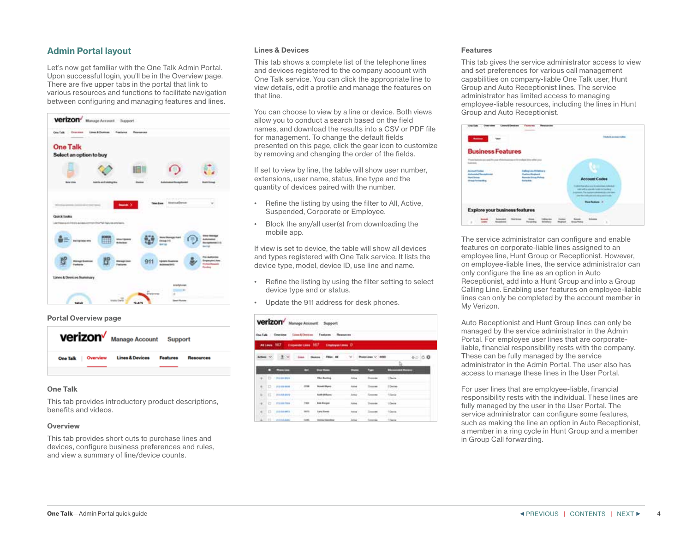## <span id="page-3-0"></span>Admin Portal layout

Let's now get familiar with the One Talk Admin Portal. Upon successful login, you'll be in the Overview page. There are five upper tabs in the portal that link to various resources and functions to facilitate navigation between configuring and managing features and lines.



#### Portal Overview page



## One Talk

This tab provides introductory product descriptions, benefits and videos.

#### **Overview**

This tab provides short cuts to purchase lines and devices, configure business preferences and rules, and view a summary of line/device counts.

#### Lines & Devices

This tab shows a complete list of the telephone lines and devices registered to the company account with One Talk service. You can click the appropriate line to view details, edit a profile and manage the features on that line.

You can choose to view by a line or device. Both views allow you to conduct a search based on the field names, and download the results into a CSV or PDF file for management. To change the default fields presented on this page, click the gear icon to customize by removing and changing the order of the fields.

If set to view by line, the table will show user number, extensions, user name, status, line type and the quantity of devices paired with the number.

- Refine the listing by using the filter to All, Active, Suspended, Corporate or Employee.
- Block the any/all user(s) from downloading the mobile app.

If view is set to device, the table will show all devices and types registered with One Talk service. It lists the device type, model, device ID, use line and name.

- Refine the listing by using the filter setting to select device type and or status.
- Update the 911 address for desk phones.

| <b>Verizon'</b> Manage Account Support               |                                                                               |                             |                 |                         |                         |       |
|------------------------------------------------------|-------------------------------------------------------------------------------|-----------------------------|-----------------|-------------------------|-------------------------|-------|
| One Talk Oversion Lisso-& Destroy Postures Resources |                                                                               |                             |                 |                         |                         |       |
| Altains 167 Consentration 167 Countyrelates D.       |                                                                               |                             |                 |                         |                         |       |
|                                                      | $\frac{1}{2}$ $\left \mathcal{N}\right $ . See Render . We can be seen to the |                             |                 |                         |                         | 00000 |
| <b>Committee</b>                                     | ▬                                                                             | <b>Book Monte</b>           |                 | ٠                       | <b>Thursdall Bussex</b> |       |
| 01 02 2010 PM                                        |                                                                               | <b>The Ranked</b>           | Arrive 11       | Convenient 11 Carrie 11 |                         |       |
| $D$ . Form and                                       | 1.000 -                                                                       | <b>Ronald Myers</b>         | <b>Rolled</b>   | Downey 1                | $12$ and an             |       |
| <b>WITH PARAME</b>                                   |                                                                               | <b>Auth William</b>         | <b>Artist</b>   |                         | <b>USAnia</b>           |       |
| 40 C Fallentee                                       | 7900                                                                          | <b>Bott Bangar</b>          | Aches.          | <b>Templer</b>          | 10 Garris               |       |
| ALC: U.S. and domestic                               | $- 14444$                                                                     | Lary Term                   | <b>Robert 1</b> | <b>Country</b>          | 10ere -                 |       |
| 4-121 - WASHINGTON                                   | <b>SORA</b>                                                                   | <b>Signatur Higgs admin</b> | blue :          | Search -                | <b>Literat</b>          |       |

#### Features

This tab gives the service administrator access to view and set preferences for various call management capabilities on company-liable One Talk user, Hunt Group and Auto Receptionist lines. The service administrator has limited access to managing employee-liable resources, including the lines in Hunt Group and Auto Receptionist.



The service administrator can configure and enable features on corporate-liable lines assigned to an employee line, Hunt Group or Receptionist. However, on employee-liable lines, the service administrator can only configure the line as an option in Auto Receptionist, add into a Hunt Group and into a Group Calling Line. Enabling user features on employee-liable lines can only be completed by the account member in My Verizon.

Auto Receptionist and Hunt Group lines can only be managed by the service administrator in the Admin Portal. For employee user lines that are corporateliable, financial responsibility rests with the company. These can be fully managed by the service administrator in the Admin Portal. The user also has access to manage these lines in the User Portal.

For user lines that are employee-liable, financial responsibility rests with the individual. These lines are fully managed by the user in the User Portal. The service administrator can configure some features, such as making the line an option in Auto Receptionist, a member in a ring cycle in Hunt Group and a member in Group Call forwarding.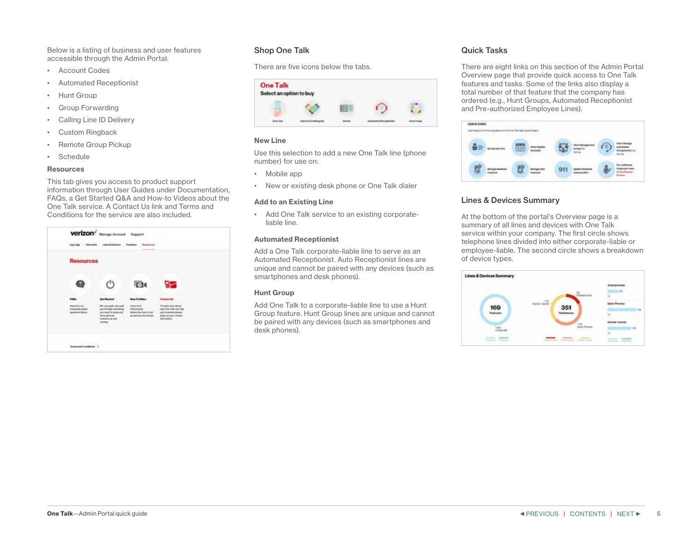<span id="page-4-0"></span>Below is a listing of business and user features accessible through the Admin Portal:

- Account Codes
- Automated Receptionist
- Hunt Group
- Group Forwarding
- Calling Line ID Delivery
- Custom Ringback
- Remote Group Pickup
- Schedule

#### **Resources**

This tab gives you access to product support information through User Guides under Documentation, FAQs, a Get Started Q&A and How-to Videos about the One Talk service. A Contact Us link and Terms and Conditions for the service are also included.

| <b>Resources</b><br><b>WE CAN PENSOLINATE</b>                                        |                                                                                                                                                |                                                                                                            |                                                                                                                             |
|--------------------------------------------------------------------------------------|------------------------------------------------------------------------------------------------------------------------------------------------|------------------------------------------------------------------------------------------------------------|-----------------------------------------------------------------------------------------------------------------------------|
|                                                                                      |                                                                                                                                                | <b>D</b>                                                                                                   |                                                                                                                             |
| FM34                                                                                 | <b><i><u>Sell Minerteed</u></i></b>                                                                                                            | <b>How To Video</b>                                                                                        | antique lieu                                                                                                                |
| <b>Brakerith Ali Jack</b><br><b>Prigram</b> value<br><b>Anothine Mexic</b><br>57 J.H | Mir can quick and with<br>any filmsale particles)<br>antic meand to listene and<br>including and power<br><b>Explored Inc. and</b><br>Levera." | <b>Louis How</b><br><b><i><u>Reflectional</u></i></b><br>without Sea Sear Street<br>as and car fed service | To loan's more about<br>lose thru but can look<br>www.biankeniczónymi<br><b>Brand: uit planet constance</b><br>information: |

## Shop One Talk

There are five icons below the tabs.



## New Line

Use this selection to add a new One Talk line (phone number) for use on:

- Mobile app
- New or existing desk phone or One Talk dialer

#### Add to an Existing Line

• Add One Talk service to an existing corporateliable line.

#### Automated Receptionist

Add a One Talk corporate-liable line to serve as an Automated Receptionist. Auto Receptionist lines are unique and cannot be paired with any devices (such as smartphones and desk phones).

#### Hunt Group

Add One Talk to a corporate-liable line to use a Hunt Group feature. Hunt Group lines are unique and cannot be paired with any devices (such as smartphones and desk phones).

## Quick Tasks

There are eight links on this section of the Admin Portal Overview page that provide quick access to One Talk features and tasks. Some of the links also display a total number of that feature that the company has ordered (e.g., Hunt Groups, Automated Receptionist and Pre-authorized Employee Lines).



## Lines & Devices Summary

At the bottom of the portal's Overview page is a summary of all lines and devices with One Talk service within your company. The first circle shows telephone lines divided into either corporate-liable or employee-liable. The second circle shows a breakdown of device types.

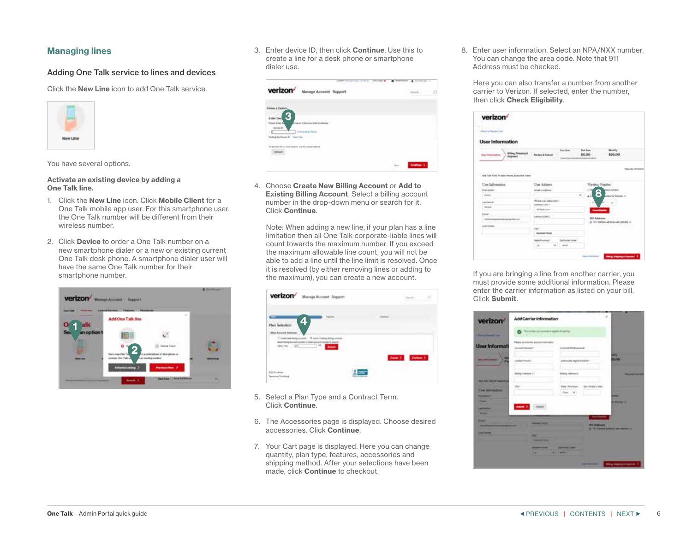## <span id="page-5-0"></span>Managing lines

## Adding One Talk service to lines and devices

Click the New Line icon to add One Talk service.



You have several options.

Activate an existing device by adding a One Talk line.

- 1. Click the New Line icon. Click Mobile Client for a One Talk mobile app user. For this smartphone user, the One Talk number will be different from their wireless number.
- 2. Click **Device** to order a One Talk number on a new smartphone dialer or a new or existing current One Talk desk phone. A smartphone dialer user will have the same One Talk number for their smartphone number.



3. Enter device ID, then click Continue. Use this to create a line for a desk phone or smartphone dialer use.

|                                                                        | <b>TUDE</b> |             | ъ |
|------------------------------------------------------------------------|-------------|-------------|---|
| verizon <sup>/</sup><br><b>Manage Accou</b>                            |             | <b>STAR</b> |   |
| <b>Henri a Deetre</b>                                                  |             |             |   |
| <b>Estar Day</b><br><b>MARINES</b><br>di sua si fil trati ani          |             |             |   |
| $m \geq 1$<br>1 1 410 AVAN TOUR                                        |             |             |   |
|                                                                        |             |             |   |
| <b>Service Service Service</b><br>$-0.001$<br>----<br><b>STEP STAR</b> |             |             |   |
|                                                                        |             |             |   |
|                                                                        |             | .           |   |

4. Choose Create New Billing Account or Add to Existing Billing Account. Select a billing account number in the drop-down menu or search for it. Click Continue.

Note: When adding a new line, if your plan has a line limitation then all One Talk corporate-liable lines will count towards the maximum number. If you exceed the maximum allowable line count, you will not be able to add a line until the line limit is resolved. Once it is resolved (by either removing lines or adding to the maximum), you can create a new account.



- 5. Select a Plan Type and a Contract Term. Click Continue.
- 6. The Accessories page is displayed. Choose desired accessories. Click Continue.
- 7. Your Cart page is displayed. Here you can change quantity, plan type, features, accessories and shipping method. After your selections have been made, click Continue to checkout.

8. Enter user information. Select an NPA/NXX number. You can change the area code. Note that 911 Address must be checked.

Here you can also transfer a number from another carrier to Verizon. If selected, enter the number, then click Check Eligibility.

| <b>Contractor</b><br><b>CONTRACTOR</b>                                       |                                                                      |                  |                      |                                                                              |
|------------------------------------------------------------------------------|----------------------------------------------------------------------|------------------|----------------------|------------------------------------------------------------------------------|
| <b>User Information</b>                                                      |                                                                      |                  |                      |                                                                              |
| <b>Bas Manufine</b><br><b>Giling Measure</b> 6<br><i>Pagman</i> <sup>2</sup> | <b>Farmer &amp; Submit</b>                                           | <b>Procedure</b> | That Brian<br>\$0.00 | \$25.00                                                                      |
| One functions of basic Phone Sounding Insec.<br>Use Information              | <b>User Address</b>                                                  |                  |                      | <b>IN CASH</b><br>Nextas Napher                                              |
| <b>Engineering</b>                                                           | <b>Identification</b>                                                |                  |                      | <b><i><u>Black College</u></i></b><br>8                                      |
| <b>Solution</b><br>Law Secret                                                | There is not indeed that<br><b>DIRECT LOW IT</b><br><b>ATMASSMAN</b> |                  | $\sqrt{2}$           | or by Stations 12<br><b>Grand Markets</b>                                    |
|                                                                              |                                                                      |                  |                      |                                                                              |
|                                                                              | Associated Lines of                                                  |                  |                      | <b>WAS ARRANGED TO AN ASSAULT</b><br>27 STT Address serve as user address to |
| throat<br><b>Castle</b><br>1440<br><b>Controller</b>                         | <b>Normal Tricut</b>                                                 |                  |                      | <b>MARK START START</b>                                                      |

If you are bringing a line from another carrier, you must provide some additional information. Please enter the carrier information as listed on your bill. Click Submit.

| verizon <sup>®</sup>                                                                                     | The continue precipiesment is adapted to planning                          |                                                                 |                                 |
|----------------------------------------------------------------------------------------------------------|----------------------------------------------------------------------------|-----------------------------------------------------------------|---------------------------------|
| I Was in famous link.                                                                                    |                                                                            |                                                                 |                                 |
| <b>User Informati</b>                                                                                    | Pains (mothy his lanciud internation)<br><b>Louis State</b>                | <b><i>Britain Fortunance</i></b>                                |                                 |
| <b>THE STATISTICS</b>                                                                                    | Toriana Missouri                                                           | THAT'LL HOTEL FLA<br>Judiciousl Egref is learnly!               | -<br><b>BLANK</b>               |
|                                                                                                          | <b>BIDG 100341 [ -</b>                                                     | <b>BERG HERMAN</b>                                              | <b>Married Street</b>           |
| <b>She Top Total Printed Print</b><br><b>Contractor</b><br><b>Class Suffermations</b><br><b>PERSONAL</b> |                                                                            | Da Medal Saler<br><b>Bally - Resolvered</b>                     | -                               |
| --<br><b>START OF</b><br><b>State of Local Division</b><br><b>Land Countries</b>                         | <b>Sales</b> 31                                                            |                                                                 | <b>By MAYBAN 197</b>            |
| <b>British</b><br><br><b>START</b>                                                                       | <b>CONSULTANT</b><br>,,,,,,,,                                              | <b><i><u>Charles Country</u></i></b><br><br><b>Bill Address</b> |                                 |
| -<br><b>Stand Scholar</b>                                                                                | -                                                                          |                                                                 | AT 27 PARKWICKER IS NOT WITHOUT |
|                                                                                                          | <b><i><u>START AND THEFT</u></i></b><br><b><i><u>SANSKANSKANSK</u></i></b> | <b>Staffment State</b><br>the contract of the contract of       |                                 |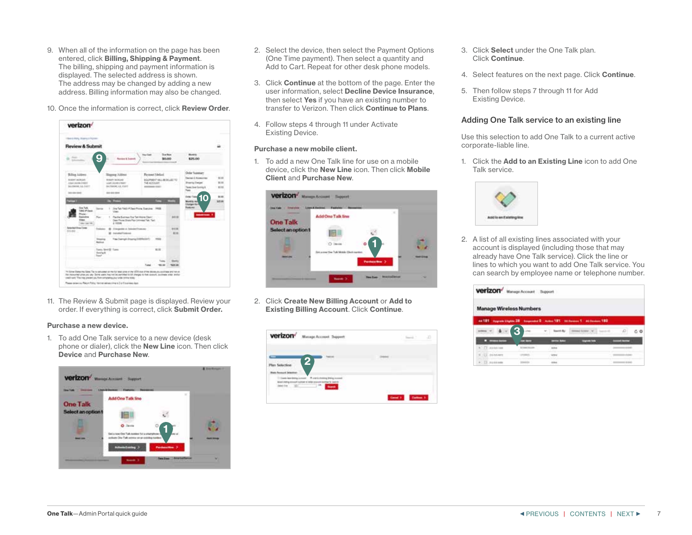- <span id="page-6-0"></span>9. When all of the information on the page has been entered, click Billing, Shipping & Payment. The billing, shipping and payment information is displayed. The selected address is shown. The address may be changed by adding a new address. Billing information may also be changed.
- 10. Once the information is correct, click Review Order.



11. The Review & Submit page is displayed. Review your order. If everything is correct, click Submit Order.

#### Purchase a new device.

1. To add One Talk service to a new device (desk phone or dialer), click the New Line icon. Then click Device and Purchase New.



- 2. Select the device, then select the Payment Options (One Time payment). Then select a quantity and Add to Cart. Repeat for other desk phone models.
- 3. Click Continue at the bottom of the page. Enter the user information, select Decline Device Insurance, then select Yes if you have an existing number to transfer to Verizon. Then click Continue to Plans.
- 4. Follow steps 4 through 11 under Activate Existing Device.

#### Purchase a new mobile client.

1. To add a new One Talk line for use on a mobile device, click the New Line icon. Then click Mobile Client and Purchase New.



2. Click Create New Billing Account or Add to Existing Billing Account. Click Continue.

| <b>Verizon'</b> Messpe Account Support | э |
|----------------------------------------|---|
| Y <sub>4</sub>                         |   |
| $\sim$<br>÷                            |   |

- 3. Click Select under the One Talk plan. Click Continue.
- 4. Select features on the next page. Click Continue.
- 5. Then follow steps 7 through 11 for Add Existing Device.

## Adding One Talk service to an existing line

Use this selection to add One Talk to a current active corporate-liable line.

1. Click the **Add to an Existing Line** icon to add One Talk service.



2. A list of all existing lines associated with your account is displayed (including those that may already have One Talk service). Click the line or lines to which you want to add One Talk service. You can search by employee name or telephone number.

| <b>Verizon'</b> Manage Account Support |                       |                                                 |
|----------------------------------------|-----------------------|-------------------------------------------------|
| <b>Manage Wireless Numbers</b>         |                       |                                                 |
|                                        |                       | ACT TO AN IN THE R. P. LEWIS CO., LANSING MICH. |
|                                        | Links                 | $-400$<br>Distance (CW) search between<br>C O   |
|                                        | _                     |                                                 |
| C.D. menium                            | <b>Science Street</b> | ana.                                            |
| R LCC minners                          |                       | $-7 - 1$                                        |
| $+ 12.111111111$                       |                       |                                                 |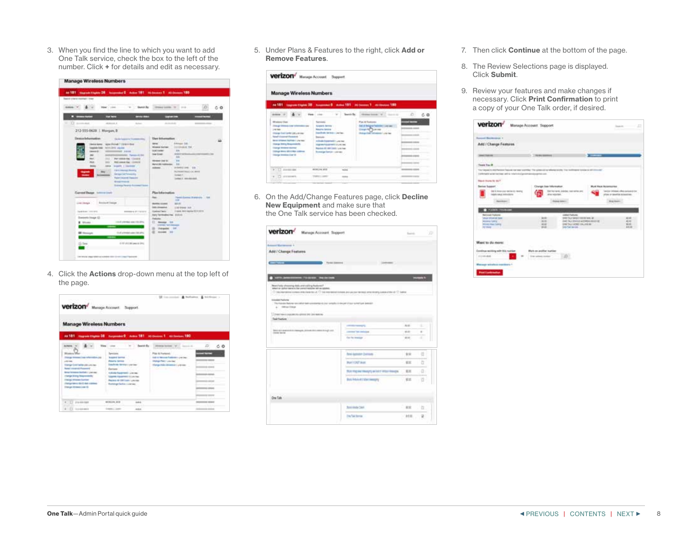3. When you find the line to which you want to add One Talk service, check the box to the left of the number. Click + for details and edit as necessary.

| <b>Manage Wireless Numbers</b>                                                                                                                                                                                                                                                                                                                                                                                                                                                                                                                                     |                                                                                                                                                                                                                                                                                                                                                                                                                    |
|--------------------------------------------------------------------------------------------------------------------------------------------------------------------------------------------------------------------------------------------------------------------------------------------------------------------------------------------------------------------------------------------------------------------------------------------------------------------------------------------------------------------------------------------------------------------|--------------------------------------------------------------------------------------------------------------------------------------------------------------------------------------------------------------------------------------------------------------------------------------------------------------------------------------------------------------------------------------------------------------------|
| 44 Straussick Francisco DE Augustus Communication of August 1987<br><b>Seconds or better changing of 1 longer</b><br><b>SHOW Y</b><br>West Colorado Control<br><b>Team Ru</b>                                                                                                                                                                                                                                                                                                                                                                                      | Obbedrooms, 1977, 2114<br>6 O                                                                                                                                                                                                                                                                                                                                                                                      |
| <b>Committee</b><br><b>STATISTICS</b><br>---<br>۰<br>$\overline{12}$ in<br>Act of<br>212-555-0629   Margan B                                                                                                                                                                                                                                                                                                                                                                                                                                                       | ---                                                                                                                                                                                                                                                                                                                                                                                                                |
| Dennis behaviorities.<br>Skilled Assessor & Scheeners of<br>Device News,  want (Police) ? (1938) P Doct<br>together Date: Institute of Logislate 1.11.<br><b>Internet</b><br><b>DEAL RESERVE</b><br><b>Accommodate</b> , Parameter 49, Sep<br>$\cdots$<br>PAY HANNA RAL COURS !<br>m<br>into<br>West comed day: 1000018<br>mo<br><b>Scanfill, I likelihood</b><br>ask at<br><b>Book</b><br><b><i>CA 4 December Moneta</i></b><br>Serge tel: November<br><b>Race Lincored Dancord</b><br><b>Brook Price of</b><br><b>Scott Adapt Present at the comment Tracked</b> | Use knowled<br><b>Ellisque DS</b><br><b>SECURITY</b><br><b>INTERACT TALL</b><br><b>Mission Mariner</b><br>in a<br><b>DEATH AND</b><br><b>ANGELE</b><br>last final.<br><b>SH</b><br><b>Walk</b><br><b>Homes Cast III</b><br><b>Bighal dell Justin</b><br><b>SALE COLL</b><br><b>Johnson</b><br>ychecolog ( UK )<br><b>Numerican Co. Box</b><br>Design Public Collection<br>Detail and Lines                         |
| Current Union: International<br><b>FALLING</b><br>Line (mage )  Protest limiter<br>Dealer & copy (1993) 987-81<br><b>CONFIDENTIAL</b><br>Emissio Inage (2)<br>110-5 coloridad mini-100-2PS.<br>E Mines<br><b>EX Homes</b><br>To all uniterated users 148 string<br>410 #191 per p. (PC)<br>(S Des<br>On your year and you want to contact the company                                                                                                                                                                                                              | Plan Information<br><b>STATISTICS</b><br>her.<br><b>Plantific Guerrant Driamery (d. 2000)</b><br><b>ARK</b><br>and old<br><b>BURN STARS</b><br><b><i><u>SAS AFRANCIA</u></i></b><br>LIST GRASS S.R.<br>Lisante, Mini-Ingeles (ELILISON)<br><b><i><u>Senator</u></i></b><br>kers Territosites Fax. (120.05)<br><b>Federal</b><br>12 <b>Group / 14</b><br>Internet Tel University<br>22 University 1941<br>E nome 10 |

4. Click the Actions drop-down menu at the top left of the page.

| verizon <sup>/</sup> Munage Account Support                                                                                                                                                                                                                                                                                        |                                                                                                                                                                                                                                                                                                                                                                    | [2] immind & holistic & hickory ;                                                                                                                                                                                         |                                                                                                         |
|------------------------------------------------------------------------------------------------------------------------------------------------------------------------------------------------------------------------------------------------------------------------------------------------------------------------------------|--------------------------------------------------------------------------------------------------------------------------------------------------------------------------------------------------------------------------------------------------------------------------------------------------------------------------------------------------------------------|---------------------------------------------------------------------------------------------------------------------------------------------------------------------------------------------------------------------------|---------------------------------------------------------------------------------------------------------|
| <b>Manage Wireless Numbers</b>                                                                                                                                                                                                                                                                                                     |                                                                                                                                                                                                                                                                                                                                                                    |                                                                                                                                                                                                                           |                                                                                                         |
|                                                                                                                                                                                                                                                                                                                                    | At Figures Falset EE and Discount Discount EE approvement FEE as                                                                                                                                                                                                                                                                                                   |                                                                                                                                                                                                                           |                                                                                                         |
| Welet<br><b>Bluessa Mar</b><br><b>Things timesed line referrable cap</b><br>Little state.<br>Deep Continents and Los Ago<br>Road Listand Fotowell<br>large largest builded - Link car.<br><b>TRANS STOLE TRANSVERSE</b><br><b>Clinide Africane Scyntage</b><br>(Testiga lakes) dan 2-kali communi<br><b>Stange Himmed (see th)</b> | <b>Beacht Ba</b><br>Lister.<br><b>Sentiana</b><br><b><i><u><u><b>Distant America</b></u></u></i></b><br><b>Baseba lemma</b><br><b>Saudy by Artists contine</b><br><b>Flashment</b><br><b>Edizia Taramedin Librian</b><br>Standard Captaintent 12 Los Fees<br>Rentals Mr 600 Lastin Lincoln<br><b>Rummar Callier Linches</b><br>The contract of the contract of the | Director buriness (Mr.), Jacob A.<br><b>Play &amp; Forland 11</b><br>late a movement and contact of the co-<br>Distances Counter<br>The guildren interesting prevents<br>and the company of the company of the company of | o<br>$C$ O<br><b>ALCOHOL:</b><br>--<br>---<br><b>CONTRACTOR</b><br><b>TEL GROUP</b><br><b>By DESIGN</b> |
| <b>IT Hallman</b>                                                                                                                                                                                                                                                                                                                  | <b>BURGIN, ALE</b><br>ask at                                                                                                                                                                                                                                                                                                                                       |                                                                                                                                                                                                                           | <b>Date Address</b>                                                                                     |
| 4 CT - Installation                                                                                                                                                                                                                                                                                                                | insex Lines<br>Artists.                                                                                                                                                                                                                                                                                                                                            |                                                                                                                                                                                                                           | <b>STATISTICS</b>                                                                                       |

5. Under Plans & Features to the right, click Add or Remove Features.

| Verizon <sup>/</sup> Nasapr Account Support.                                                                                                                                                                                                                                                                                                            |                                                                                                                                                                                                                                                                                                                                                                                                                                                                                 |                                                                                                                             |                         |
|---------------------------------------------------------------------------------------------------------------------------------------------------------------------------------------------------------------------------------------------------------------------------------------------------------------------------------------------------------|---------------------------------------------------------------------------------------------------------------------------------------------------------------------------------------------------------------------------------------------------------------------------------------------------------------------------------------------------------------------------------------------------------------------------------------------------------------------------------|-----------------------------------------------------------------------------------------------------------------------------|-------------------------|
| <b>Manage Wireless Numbers</b>                                                                                                                                                                                                                                                                                                                          |                                                                                                                                                                                                                                                                                                                                                                                                                                                                                 |                                                                                                                             |                         |
|                                                                                                                                                                                                                                                                                                                                                         | At 181 Inspect to a count of the action of Language 191 at the second 193                                                                                                                                                                                                                                                                                                                                                                                                       |                                                                                                                             |                         |
| page (P)                                                                                                                                                                                                                                                                                                                                                | Institute Bar.<br><b>Week Links</b><br>. .                                                                                                                                                                                                                                                                                                                                                                                                                                      | states forms "Will dealers"                                                                                                 | - 0<br>c <sub>0</sub>   |
| <b>Wednesd</b> Man-<br><b>Sharak Villalacks Law Villanoville</b><br><b>CALLED</b><br>time approached than that policy terms.<br><b>Read Intermed Research 17</b><br><b>Banch reframed Rightsay + Line easy</b><br>Starye Diric Requirements<br><b>Contrast Ministers Healthan</b><br><b>Colour Alers #5 4 Min cell/140</b><br><b>Using motive Let'S</b> | <b>Samuelai</b><br><b>Graphical Service : :</b><br><b>Results Service</b><br>backed to be more concluse.<br><b>Transport</b><br>college fragments are now<br><b>Editor And Contemporary Contemporal Contemporal Contemporal Contemporal Contemporal Contemporal Contemporal Contemporal Contemporal Contemporal Contemporal Contemporal Contemporal Contemporal Contemporal Contemporal Conte</b><br>Resolute 20, 444 Children over loan-<br><b>Business Territory colorado</b> | Fox & Sustane<br>Sai di Belgra Federano Les sec 111<br>Deputy (Chevrolet<br><b>Distance Cash Advances Current Cash</b><br>۰ | <b>SOUTHERN ASSAULT</b> |
| #3.13 Histories                                                                                                                                                                                                                                                                                                                                         | $-0.4$<br><b>ASTROLOGY AFOR</b>                                                                                                                                                                                                                                                                                                                                                                                                                                                 |                                                                                                                             | $-1000$                 |
| $8.73$ comment.                                                                                                                                                                                                                                                                                                                                         | TOWER COMPANY<br>ass.                                                                                                                                                                                                                                                                                                                                                                                                                                                           |                                                                                                                             |                         |

6. On the Add/Change Features page, click Decline New Equipment and make sure that the One Talk service has been checked.

|                                                                                                                                                                       | Manage Account Support                                                | <b>Saint</b> | $\mathcal{D}$     |
|-----------------------------------------------------------------------------------------------------------------------------------------------------------------------|-----------------------------------------------------------------------|--------------|-------------------|
| Artmore Marriennia 1.                                                                                                                                                 |                                                                       |              |                   |
| Add / Change Features                                                                                                                                                 |                                                                       |              |                   |
|                                                                                                                                                                       |                                                                       |              |                   |
| <b>Contact Contact Contact of Con-</b>                                                                                                                                | <b>CONTRACTOR</b>                                                     |              |                   |
|                                                                                                                                                                       |                                                                       |              | ≕                 |
| <b>SHELL AND COMPANY</b>                                                                                                                                              |                                                                       |              |                   |
| Sked bila chroming dalk white planned backet?<br>adapt on calculate language for the control language last on actuals.                                                |                                                                       |              |                   |
| C backgrowing contact Mid-Sand No. C backgrowing concern and accuse the mail or to concern at the U.S. Latins<br>Control sports through the political characteristics | a godine za naturalni potrebni potrebni stati protestante in predstav |              |                   |
| <b>Insular Fadurer</b><br>The Palmies Ballyan rate able ball colorated in the longitude of decade that a letter gas avenue                                            |                                                                       |              |                   |
| 4. Interiorum                                                                                                                                                         |                                                                       |              |                   |
| L'Orestien è passerzo gito è per la resone                                                                                                                            |                                                                       |              |                   |
| <b>Taxit Fourture</b>                                                                                                                                                 |                                                                       |              |                   |
|                                                                                                                                                                       | <b>CONTRACTOR</b>                                                     | ALC:         |                   |
| <b>SEARCH INTERNATIONAL PROPERTY AND</b>                                                                                                                              |                                                                       |              |                   |
| THE R P CENTRAL RANGE AND RESIDENCE OF A REAL PROPERTY.<br>meter starter.                                                                                             | constant free embolism<br><b>Second Line Rd</b>                       | 49.40        | $\sim$<br>$-1000$ |
|                                                                                                                                                                       | the twinnings<br><b>TANK STAR</b>                                     | <b>MAG</b>   | ٠                 |
|                                                                                                                                                                       | <b>Soul-September Distribution</b>                                    | 知床           |                   |
|                                                                                                                                                                       |                                                                       |              | đ<br>--           |
|                                                                                                                                                                       | <b>PURTOUT WINE</b>                                                   | 世王           | b                 |
|                                                                                                                                                                       | TOA YNJ AK TRANSYS MONTY PROCTRAGES                                   | 三三           | a<br>--           |
|                                                                                                                                                                       | Basil Arbok at collect terrorism<br>Alban St.Mo                       | 宏定           | ŭ                 |
|                                                                                                                                                                       |                                                                       |              |                   |
|                                                                                                                                                                       |                                                                       |              |                   |
| One Tale                                                                                                                                                              | <b>Bank dealer (1464)</b><br>÷                                        | $-88$        | b                 |

- 7. Then click **Continue** at the bottom of the page.
- 8. The Review Selections page is displayed. Click Submit.
- 9. Review your features and make changes if necessary. Click Print Confirmation to print a copy of your One Talk order, if desired.

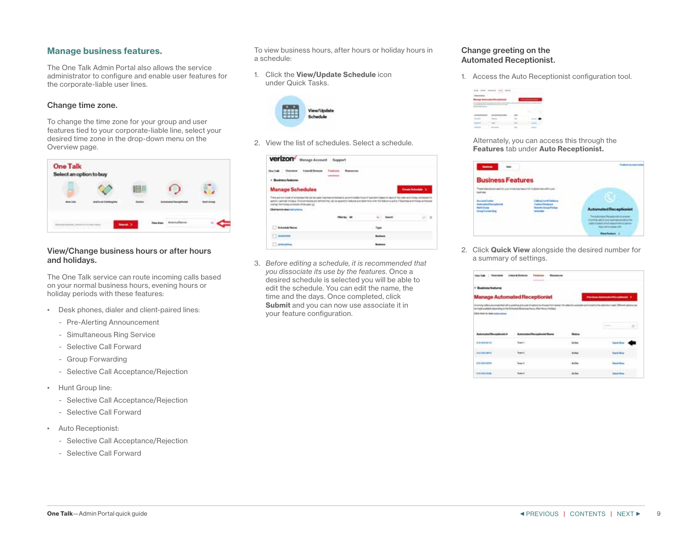## <span id="page-8-0"></span>Manage business features.

The One Talk Admin Portal also allows the service administrator to configure and enable user features for the corporate-liable user lines.

## Change time zone.

To change the time zone for your group and user features tied to your corporate-liable line, select your desired time zone in the drop-down menu on the Overview page.



## View/Change business hours or after hours and holidays.

The One Talk service can route incoming calls based on your normal business hours, evening hours or holiday periods with these features:

- Desk phones, dialer and client-paired lines:
	- Pre-Alerting Announcement
	- Simultaneous Ring Service
	- Selective Call Forward
	- Group Forwarding
	- Selective Call Acceptance/Rejection
- Hunt Group line:
	- Selective Call Acceptance/Rejection
	- Selective Call Forward
- Auto Receptionist:
	- Selective Call Acceptance/Rejection
	- Selective Call Forward

To view business hours, after hours or holiday hours in a schedule:

1. Click the View/Update Schedule icon under Quick Tasks.



2. View the list of schedules. Select a schedule.

| Lines & Devices<br><b>Charlestone</b><br><b>Service Control</b>                                                                                                                                                                                                                           | - Fostana - Relevance |                      |                                    |  |
|-------------------------------------------------------------------------------------------------------------------------------------------------------------------------------------------------------------------------------------------------------------------------------------------|-----------------------|----------------------|------------------------------------|--|
| Business features                                                                                                                                                                                                                                                                         |                       |                      |                                    |  |
| <b>Manage Schedules</b>                                                                                                                                                                                                                                                                   |                       |                      |                                    |  |
| There are host folest of a medicine that but the costs downtown schedules to an                                                                                                                                                                                                           |                       |                      | This means agree Publisher at Fred |  |
| ona cath                                                                                                                                                                                                                                                                                  | <b>TANK</b>           | THE REPORT OF STREET |                                    |  |
| AC 72 50 5                                                                                                                                                                                                                                                                                |                       |                      | D) m                               |  |
|                                                                                                                                                                                                                                                                                           |                       |                      |                                    |  |
| appolity intereste institutes. Once terms and we terms that you can explaint to the lateral and internative attention a walker of their exact and history activities<br>College with the relationship sector from two local<br>Click have to show instructions.<br><b>LC hall at Phot</b> |                       |                      |                                    |  |

3. *Before editing a schedule, it is recommended that you dissociate its use by the features.* Once a desired schedule is selected you will be able to edit the schedule. You can edit the name, the time and the days. Once completed, click Submit and you can now use associate it in your feature configuration.

## Change greeting on the Automated Receptionist.

1. Access the Auto Receptionist configuration tool.



Alternately, you can access this through the Features tab under Auto Receptionist.



2. Click **Quick View** alongside the desired number for a summary of settings.

| One full: Desrees               | <b>Linux &amp; Elevicar</b><br><b><i><u>Fashion</u></i></b><br><b>Researces</b>                                                                                |                               |
|---------------------------------|----------------------------------------------------------------------------------------------------------------------------------------------------------------|-------------------------------|
| <b>Business foutures</b>        |                                                                                                                                                                |                               |
|                                 | <b>Manage Automated Receptionist</b>                                                                                                                           | Parchase Advances November 17 |
|                                 | in prono rather are presented with a greated and a set of spices to choose from gones the wites for warrant and motel to the attention and a Shiwest automatic |                               |
| Cikik have by view basicaritans |                                                                                                                                                                |                               |
|                                 |                                                                                                                                                                |                               |
|                                 |                                                                                                                                                                |                               |
|                                 | <b>Special</b>                                                                                                                                                 | <b>Said Fox</b>               |
|                                 |                                                                                                                                                                | <b>Busin World</b>            |
| <b>2021 0-00 4119</b>           | Sund II                                                                                                                                                        | <b>Sink View</b>              |
| <b>Distances</b>                |                                                                                                                                                                | <b>Statute Views</b>          |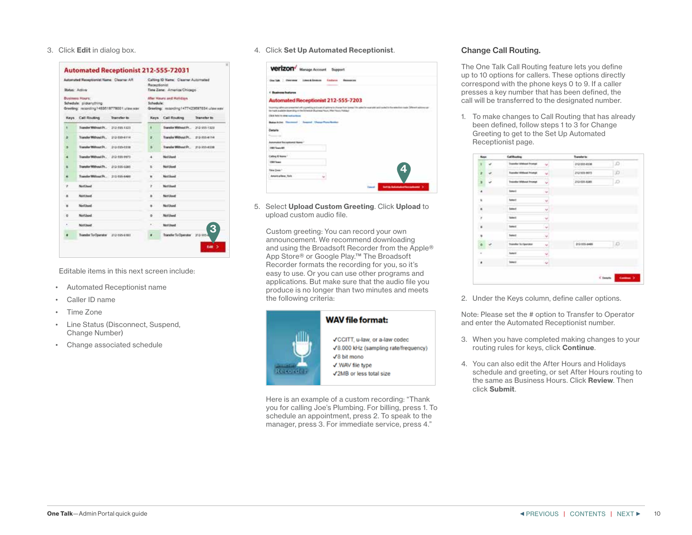<span id="page-9-0"></span>3. Click Edit in dialog box.

| Automated Neceptionist Name: Claamer AR<br><b>Butus: Active:</b>                              |                                     | Calling ID Name: Classrer Automated<br>Receptionist<br>Time Zane: America/Chicago  |       |                                    |                     |
|-----------------------------------------------------------------------------------------------|-------------------------------------|------------------------------------------------------------------------------------|-------|------------------------------------|---------------------|
| <b>Business Hours:</b><br>Schedula: pickanything<br>Greeting: recording 1482019779001.utawwar |                                     | After Hours and Holidays<br>Schedule:<br>Greeting: recording 1477423097034 ulawway |       |                                    |                     |
|                                                                                               | Keys Call Routing                   | Transfer to                                                                        | Kays. | <b>Call Routing</b>                | <b>Transfer to:</b> |
| ۱                                                                                             | Transfer Willmart Pr., 212-555 1323 |                                                                                    | ٠     | Transfer Without Pr., 212-555-1322 |                     |
| ٠                                                                                             | Standar Without Pr.                 | 212-559-6114                                                                       | ø.    | Transfer Without Pr.               | 212-553-6114        |
| э                                                                                             | Transfer William Pr.                | 212-555-0318                                                                       | э     | Transfer Without Pr., 212-553-4118 |                     |
| ٠                                                                                             | Transdor Without Pr.                | 212-108-0072                                                                       | ٠     | Nick Library                       |                     |
| s                                                                                             | Transfer Without Pt., 113-115-0181. |                                                                                    | ×     | Nottlood                           |                     |
| ۴                                                                                             | Transfer Without Pr., 212-555-6480  |                                                                                    | ۰     | Netlingt                           |                     |
| ٠                                                                                             | <b>NotEhand</b>                     |                                                                                    | y.    | NetWorld                           |                     |
| $\blacksquare$                                                                                | Neit Litured                        |                                                                                    | ٠     | National                           |                     |
| ×                                                                                             | Notlingt                            |                                                                                    |       | National                           |                     |
| ۰.                                                                                            | Northeed                            |                                                                                    | ٠     | Netthed                            |                     |
| $\equiv$                                                                                      | NotEliand                           |                                                                                    | ĸ     | <b>Nicht Church</b>                | 3                   |
| ٠                                                                                             | Transfer To Operator 112-555-6181   |                                                                                    |       | Transfer To Operator 212-553+      |                     |

Editable items in this next screen include:

- Automated Receptionist name
- Caller ID name
- Time Zone
- Line Status (Disconnect, Suspend, Change Number)
- Change associated schedule

4. Click Set Up Automated Receptionist.

| Clus Lake Chevrolete Lines & Emission                                                 | <b>Finalizeros</b><br><b>Researches</b>                                                                                                                  |
|---------------------------------------------------------------------------------------|----------------------------------------------------------------------------------------------------------------------------------------------------------|
| <b>Regionse Insterna</b>                                                              |                                                                                                                                                          |
| Automated Receptionist 212-555-7203                                                   |                                                                                                                                                          |
| the Frank analysisk depending on the Octobally Diversion Please, After Penals Fullman | incoming callers are presented with a greed syard system to discuss from zones I fix patenties example, and system to the enterties made. Otherwise con- |
| Click held to does pull polemen                                                       |                                                                                                                                                          |
| acking December Thomas Competentation                                                 |                                                                                                                                                          |
|                                                                                       |                                                                                                                                                          |
| Details                                                                               |                                                                                                                                                          |
|                                                                                       |                                                                                                                                                          |
| cal Room againment Roomer."                                                           |                                                                                                                                                          |
| (1990) Texas AFT                                                                      |                                                                                                                                                          |
|                                                                                       |                                                                                                                                                          |
|                                                                                       |                                                                                                                                                          |
| <b>USKY Transit</b>                                                                   |                                                                                                                                                          |
| Time Zone 1                                                                           |                                                                                                                                                          |
| Calling & Keme<br><b>MARKET CONTROLL</b><br>America Have, York                        | 4                                                                                                                                                        |

5. Select Upload Custom Greeting. Click Upload to upload custom audio file.

Custom greeting: You can record your own announcement. We recommend downloading and using the Broadsoft Recorder from the Apple® App Store® or Google Play.™ The Broadsoft Recorder formats the recording for you, so it's easy to use. Or you can use other programs and applications. But make sure that the audio file you produce is no longer than two minutes and meets the following criteria:



Here is an example of a custom recording: "Thank you for calling Joe's Plumbing. For billing, press 1. To schedule an appointment, press 2. To speak to the manager, press 3. For immediate service, press 4."

## Change Call Routing.

The One Talk Call Routing feature lets you define up to 10 options for callers. These options directly correspond with the phone keys 0 to 9. If a caller presses a key number that has been defined, the call will be transferred to the designated number.

1. To make changes to Call Routing that has already been defined, follow steps 1 to 3 for Change Greeting to get to the Set Up Automated Receptionist page.

| <b>Now</b>                 | <b>Call Rooting</b>                                                             | Transfer to:                                  |              |
|----------------------------|---------------------------------------------------------------------------------|-----------------------------------------------|--------------|
| ÷                          | <b>Stander Without Prompt</b><br>w<br>w<br>And commercially                     | 212-555-4134<br><b>Profit College College</b> | o :          |
| $\ddot{\phantom{0}}$<br>÷, | <b>Transfer William Printipl</b><br>u                                           | 212155-0075                                   | o.           |
| s                          | ī,<br><b>Trainful William Prompt</b>                                            | <b>Schools</b><br>u<br>J12-555-8201           | D.           |
| 4                          | <b>liamed</b><br>w                                                              |                                               |              |
| ×.                         | <b>Turken!</b><br>443.00                                                        | 빘                                             |              |
| ï                          | <b>futbook</b><br>ž                                                             |                                               |              |
| 'n,                        | ---<br>Select<br>w                                                              |                                               |              |
| $\blacksquare$             | Ç<br>Seket                                                                      |                                               |              |
|                            | Salezt -<br>w                                                                   | <b>Additional</b>                             |              |
| $\frac{1}{2}$              | franche in Operator<br>$\overline{\phantom{a}}$<br>÷<br><b>NEUMINE SERVICES</b> | 213-335-8489<br><b>SORONY</b>                 | $D -$        |
| ÷                          | <b>Samuel</b><br>٠                                                              | ٠                                             |              |
| $\overline{\phantom{a}}$   | $\hat{\mathbf{v}}$<br>beach'.                                                   |                                               |              |
|                            |                                                                                 |                                               |              |
|                            |                                                                                 |                                               | Court County |

2. Under the Keys column, define caller options.

Note: Please set the # option to Transfer to Operator and enter the Automated Receptionist number.

- 3. When you have completed making changes to your routing rules for keys, click Continue.
- 4. You can also edit the After Hours and Holidays schedule and greeting, or set After Hours routing to the same as Business Hours. Click Review. Then click Submit.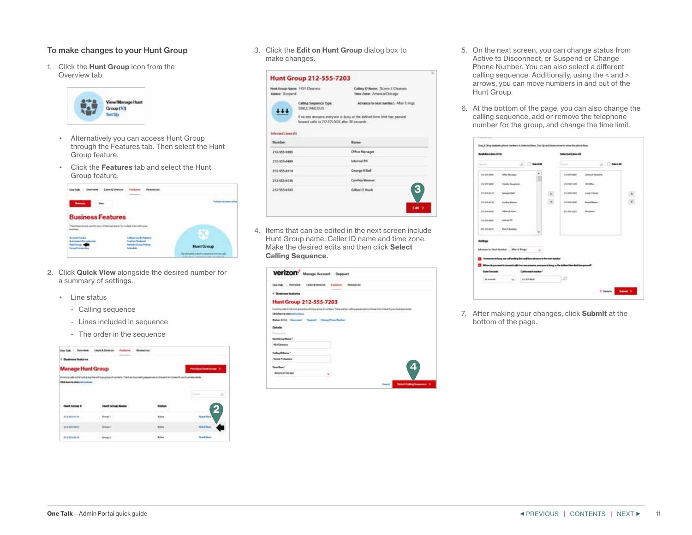## <span id="page-10-0"></span>To make changes to your Hunt Group

1. Click the **Hunt Group** icon from the Overview tab.



- Alternatively you can access Hunt Group through the Features tab. Then select the Hunt Group feature.
- Click the Features tab and select the Hunt Group feature.

| <b>Business Features</b>                  |                                                     |
|-------------------------------------------|-----------------------------------------------------|
| balance are used for procedurate assesses |                                                     |
| and Constitution                          | <b>Hunt Group</b>                                   |
|                                           | a hine to all an and attribute in the last in their |

- 2. Click Quick View alongside the desired number for a summary of settings.
	- Line status
		- Calling sequence
		- Lines included in sequence
		- The order in the sequence

|                                         | <b>Lines &amp; Devices</b>                                                                          |                                         |
|-----------------------------------------|-----------------------------------------------------------------------------------------------------|-----------------------------------------|
| inesa features                          |                                                                                                     |                                         |
| <b>Manage Hunt Group</b>                |                                                                                                     | Pointwest Hugh Screen 3                 |
| Elliote forest facultate tradicactions. | ning sale for the furth projection will import private of manifest than it is the confirmation over | <b>Executives Wood State Reservoirs</b> |
| 80 - 100 - 11                           |                                                                                                     |                                         |
|                                         |                                                                                                     | ÷<br>---                                |
|                                         |                                                                                                     | શ્ર                                     |
| <b>Johnson</b>                          |                                                                                                     | <b>ALL THE</b>                          |
| 313-235-8072                            |                                                                                                     |                                         |
| 312-988-0314                            | <b>Group 3</b>                                                                                      | <b>Slatch View</b>                      |

3. Click the Edit on Hunt Group dialog box to make changes.



4. Items that can be edited in the next screen include Hunt Group name, Caller ID name and time zone. Make the desired edits and then click Select Calling Sequence.

| Verizon <sup>d</sup> Manage Account Support                                                                                                              |                            |     |
|----------------------------------------------------------------------------------------------------------------------------------------------------------|----------------------------|-----|
| One lisk   Detroite<br>Line & Gentine                                                                                                                    | <b>Tuckers   Grundties</b> |     |
| < Business leatures                                                                                                                                      |                            |     |
| <b>Hunt Group 212-555-7203</b>                                                                                                                           |                            |     |
| Education production that the Mustafa and comparative of the Material State Education and the detection from the base fit prior four intensity intensity |                            | --- |
| Click base to steer control to real                                                                                                                      |                            |     |
| Bake hite Decemet   Super   Clara Free Rocke                                                                                                             |                            |     |
| Details                                                                                                                                                  |                            |     |
|                                                                                                                                                          |                            |     |
|                                                                                                                                                          |                            |     |
| <b>MAGNONIA</b>                                                                                                                                          |                            |     |
| when Ethnia                                                                                                                                              |                            |     |
| <b>Busine 4 Chemistre</b><br><b>TERRITORY</b>                                                                                                            |                            |     |
| Total Store 1                                                                                                                                            |                            | 4   |
| America Ellicago                                                                                                                                         |                            |     |
|                                                                                                                                                          |                            |     |

- 5. On the next screen, you can change status from Active to Disconnect, or Suspend or Change Phone Number. You can also select a different calling sequence. Additionally, using the < and > arrows, you can move numbers in and out of the Hunt Group.
- 6. At the bottom of the page, you can also change the calling sequence, add or remove the telephone number for the group, and change the time limit.

|                        | <b>Autobolis Library (1976)</b>       |                                                                                                                                                                                                     | <b><i><u><u><b>Red Electronic III</b></u></u></i></b> |                         |               |
|------------------------|---------------------------------------|-----------------------------------------------------------------------------------------------------------------------------------------------------------------------------------------------------|-------------------------------------------------------|-------------------------|---------------|
| --                     |                                       | <b>A</b><br><b>Ballyton</b>                                                                                                                                                                         | <b>Santa</b>                                          | $0.5$ D Model           |               |
| (F) BR WHEN            | <b>Machiner</b>                       |                                                                                                                                                                                                     | 214-844-0084                                          | <b>Street Filmstock</b> |               |
| 212 010 east           | <b>Freedor Desylvers</b>              |                                                                                                                                                                                                     | 270 489 1039.                                         | michai.                 |               |
| <b>112-800-0-14</b>    | <b>General McC</b>                    |                                                                                                                                                                                                     | Und-Add-FMAA                                          | Larry II Tokent         |               |
| <b>ISLAMATIN</b>       | <b>Conting Mouse</b>                  |                                                                                                                                                                                                     | <b>John American</b>                                  | <b>Woods Morris</b>     | $\frac{1}{2}$ |
| 1121014-014            | <b><i>Influent Entered</i></b>        |                                                                                                                                                                                                     | \$13,000,0000                                         | <b>Toughout</b>         |               |
| <b>ITA BIN-RIAL</b>    | <b>Delivery (PR)</b>                  |                                                                                                                                                                                                     |                                                       |                         |               |
| 801004815              | <b><i>Elsex Filmshing</i></b>         |                                                                                                                                                                                                     |                                                       |                         |               |
| --                     | Adrama to Next Number ; After 5 Rouge | . .                                                                                                                                                                                                 |                                                       |                         |               |
|                        |                                       | It is ensures in basis, and said welling first well three subsects to the seat manked<br>When do porquest to he won't calls it we are assured, many are to help as the defined then best banyous of |                                                       |                         |               |
| <b>Same Secretists</b> |                                       | California Mountain"                                                                                                                                                                                |                                                       |                         |               |
| <b>Millenger</b>       |                                       | <b>113-531-0020</b>                                                                                                                                                                                 | æ                                                     |                         |               |

7. After making your changes, click Submit at the bottom of the page.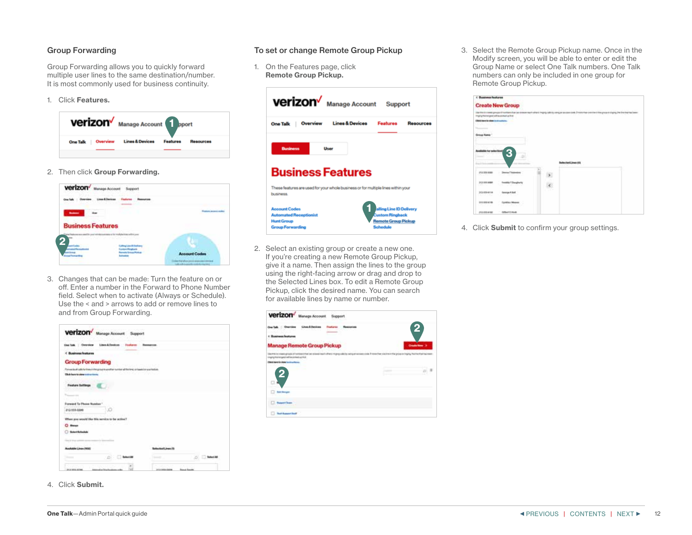## <span id="page-11-0"></span>Group Forwarding

Group Forwarding allows you to quickly forward multiple user lines to the same destination/number. It is most commonly used for business continuity.

1. Click Features.



2. Then click Group Forwarding.



3. Changes that can be made: Turn the feature on or off. Enter a number in the Forward to Phone Number field. Select when to activate (Always or Schedule). Use the < and > arrows to add or remove lines to and from Group Forwarding.

| Rosected calche interest the growth and the method that the artist of the temperature<br>18,304,000<br>Forecard To Phone Russian"<br>212-103-0300<br>When you would like this service to be active?<br>$O$ Reserves<br>School Schoolski<br>shumani Linea (N<br><b>Routlable Lines (100)</b> |                                  | Lisabilisher Testam<br><b>Burnston</b> |
|---------------------------------------------------------------------------------------------------------------------------------------------------------------------------------------------------------------------------------------------------------------------------------------------|----------------------------------|----------------------------------------|
|                                                                                                                                                                                                                                                                                             | < Business features              |                                        |
|                                                                                                                                                                                                                                                                                             | <b>Group Forwarding</b>          |                                        |
|                                                                                                                                                                                                                                                                                             |                                  |                                        |
|                                                                                                                                                                                                                                                                                             | Click beneficialize public forms |                                        |
|                                                                                                                                                                                                                                                                                             |                                  |                                        |
|                                                                                                                                                                                                                                                                                             |                                  |                                        |
|                                                                                                                                                                                                                                                                                             |                                  |                                        |
|                                                                                                                                                                                                                                                                                             |                                  |                                        |
|                                                                                                                                                                                                                                                                                             |                                  |                                        |
|                                                                                                                                                                                                                                                                                             |                                  |                                        |
|                                                                                                                                                                                                                                                                                             |                                  |                                        |
|                                                                                                                                                                                                                                                                                             |                                  |                                        |
|                                                                                                                                                                                                                                                                                             |                                  |                                        |
|                                                                                                                                                                                                                                                                                             |                                  |                                        |

- To set or change Remote Group Pickup
- 1. On the Features page, click Remote Group Pickup.





2. Select an existing group or create a new one. If you're creating a new Remote Group Pickup, give it a name. Then assign the lines to the group using the right-facing arrow or drag and drop to the Selected Lines box. To edit a Remote Group Pickup, click the desired name. You can search for available lines by name or number.



3. Select the Remote Group Pickup name. Once in the Modify screen, you will be able to enter or edit the Group Name or select One Talk numbers. One Talk numbers can only be included in one group for Remote Group Pickup.

| <b>Eusiness Instance</b>                                                                                                                                                                                                                                                                                                                                                                                                                                                                                                                                                                                          |                                                      |    |                   |                                                                                                                                                    |
|-------------------------------------------------------------------------------------------------------------------------------------------------------------------------------------------------------------------------------------------------------------------------------------------------------------------------------------------------------------------------------------------------------------------------------------------------------------------------------------------------------------------------------------------------------------------------------------------------------------------|------------------------------------------------------|----|-------------------|----------------------------------------------------------------------------------------------------------------------------------------------------|
|                                                                                                                                                                                                                                                                                                                                                                                                                                                                                                                                                                                                                   | <b>Create New Group</b>                              |    |                   |                                                                                                                                                    |
| many halo count will be consent up from<br><b>Click hours by since in circumstance.</b>                                                                                                                                                                                                                                                                                                                                                                                                                                                                                                                           |                                                      |    |                   | like this is most group of tardeers has an expanse to the Chrysle sells by any as assigned and in the continuit frequence rights for the bankeling |
| the control of the state<br><b>Statement</b><br>$\mathcal{L} = \mathcal{L} \times \mathcal{L} \times \mathcal{L} \times \mathcal{L} \times \mathcal{L} \times \mathcal{L} \times \mathcal{L} \times \mathcal{L} \times \mathcal{L} \times \mathcal{L} \times \mathcal{L} \times \mathcal{L} \times \mathcal{L} \times \mathcal{L} \times \mathcal{L} \times \mathcal{L} \times \mathcal{L} \times \mathcal{L} \times \mathcal{L} \times \mathcal{L} \times \mathcal{L} \times \mathcal{L} \times \mathcal{L} \times \mathcal{L} \times \mathcal{L} \times \mathcal{L} \times \mathcal{L$<br><b>Drawing Master</b> |                                                      |    |                   |                                                                                                                                                    |
|                                                                                                                                                                                                                                                                                                                                                                                                                                                                                                                                                                                                                   |                                                      |    |                   |                                                                                                                                                    |
|                                                                                                                                                                                                                                                                                                                                                                                                                                                                                                                                                                                                                   | 3                                                    |    |                   |                                                                                                                                                    |
|                                                                                                                                                                                                                                                                                                                                                                                                                                                                                                                                                                                                                   |                                                      |    | skochod Linux (19 |                                                                                                                                                    |
| of a 166 apps<br><b>CONTRACTOR</b>                                                                                                                                                                                                                                                                                                                                                                                                                                                                                                                                                                                | Service Finance<br>a se                              |    |                   |                                                                                                                                                    |
| 313 144 MM<br>LSS LLC                                                                                                                                                                                                                                                                                                                                                                                                                                                                                                                                                                                             | <b>Trimiday T.Desigherity</b><br>THE REPORT<br>u K   | ć. |                   |                                                                                                                                                    |
| 310-1054118<br>$C = 100$                                                                                                                                                                                                                                                                                                                                                                                                                                                                                                                                                                                          | <b>George A Sail</b>                                 |    |                   |                                                                                                                                                    |
| 220 555 6718<br>- matalog                                                                                                                                                                                                                                                                                                                                                                                                                                                                                                                                                                                         | <b>Sandrá / Kosos</b><br>9<br><b>KIND OR AND NOW</b> |    |                   |                                                                                                                                                    |
| 2020/08/08 01:00                                                                                                                                                                                                                                                                                                                                                                                                                                                                                                                                                                                                  | <b>Silkert C Hook</b>                                |    |                   |                                                                                                                                                    |

4. Click Submit to confirm your group settings.

4. Click Submit.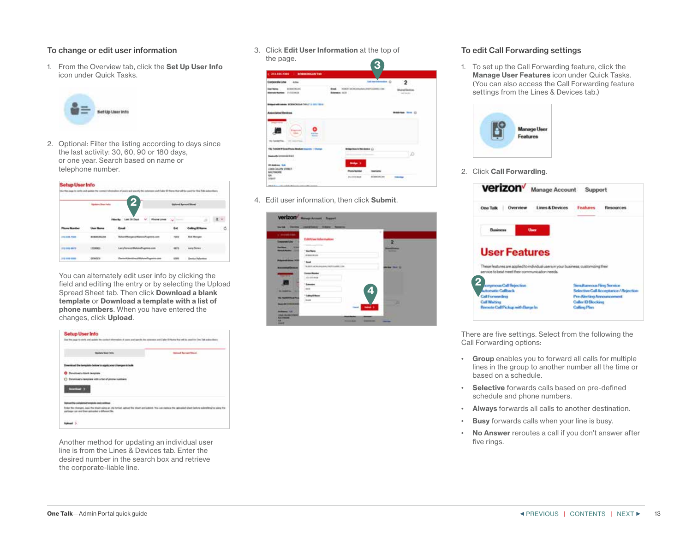## <span id="page-12-0"></span>To change or edit user information

1. From the Overview tab, click the Set Up User Info icon under Quick Tasks.



2. Optional: Filter the listing according to days since the last activity: 30, 60, 90 or 180 days, or one year. Search based on name or telephone number.

| Setup User Info<br>n til 1 |                                   |                                         |             |                                         |        |
|----------------------------|-----------------------------------|-----------------------------------------|-------------|-----------------------------------------|--------|
|                            |                                   | 2                                       |             | of furnof Stori                         |        |
|                            |                                   |                                         |             | £1                                      |        |
|                            |                                   | East                                    | Eal         |                                         | î<br>ó |
| <b>J14 841-7500</b>        | <b><i>BURNISHAN</i></b><br>142101 | <b>Burker/Winespark of Blueser</b><br>w | <b>TIBH</b> | <b>Bolt Blue</b><br>ممد<br>mas mõist su |        |
| 212 041 0973               | 15555                             | List of stress of Mahmut Fugettin       | HO          | Long Tenes                              |        |
| <b>110 033 0385</b>        |                                   | $-0.000$                                | æ           | <b>Executive Vietna</b>                 |        |

You can alternately edit user info by clicking the field and editing the entry or by selecting the Upload Spread Sheet tab. Then click Download a blank template or Download a template with a list of phone numbers. When you have entered the changes, click Upload.

| <b>School Street Select</b>                                                              | <b>Ballison Record Street</b>                     |
|------------------------------------------------------------------------------------------|---------------------------------------------------|
|                                                                                          |                                                   |
|                                                                                          |                                                   |
| 그는 사람이 나서 아니냐 아니라 아니라 아<br><b>Alaskingdi a hilarik templ</b>                             |                                                   |
| chicad a bamplane with a fiel of pinese highleave                                        |                                                   |
|                                                                                          |                                                   |
|                                                                                          |                                                   |
| <b><i>Samuel Jackson Box Mount</i></b><br>Legal cost and their calcusted at Afficent Sta | I Was call matters that calculated shared lashels |

Another method for updating an individual user line is from the Lines & Devices tab. Enter the desired number in the search box and retrieve the corporate-liable line.

3. Click Edit User Information at the top of the page.



4. Edit user information, then click Submit.



## To edit Call Forwarding settings

1. To set up the Call Forwarding feature, click the Manage User Features icon under Quick Tasks. (You can also access the Call Forwarding feature settings from the Lines & Devices tab.)



2. Click Call Forwarding.

| verizon <sup>v</sup>                                                                                                                 | Manage Account Support     |                           |                                       |
|--------------------------------------------------------------------------------------------------------------------------------------|----------------------------|---------------------------|---------------------------------------|
| One Talk<br>Owerview                                                                                                                 | <b>Lines &amp; Devices</b> | Feutures                  | <b>Resources</b>                      |
| Выкоева<br><b>Unev</b>                                                                                                               |                            |                           |                                       |
|                                                                                                                                      |                            |                           |                                       |
| <b>User Features</b>                                                                                                                 |                            |                           |                                       |
| These features are applied to individual users in your business, customaing their<br>service to best meet their communication needs. |                            |                           |                                       |
| sonyroous Call Rejection:                                                                                                            |                            |                           | Senultaneous Hing Service             |
| <b>unternatic Caliback</b>                                                                                                           |                            |                           | Selective Call Acceptance / Rejection |
| <b>Call Forwarding</b><br><b>Call Warters</b>                                                                                        |                            | <b>Caller (O Hockere)</b> | Pre-Alecting Amouncement              |

There are five settings. Select from the following the Call Forwarding options:

- Group enables you to forward all calls for multiple lines in the group to another number all the time or based on a schedule.
- Selective forwards calls based on pre-defined schedule and phone numbers.
- Always forwards all calls to another destination.
- **Busy** forwards calls when your line is busy.
- No Answer reroutes a call if you don't answer after five rings.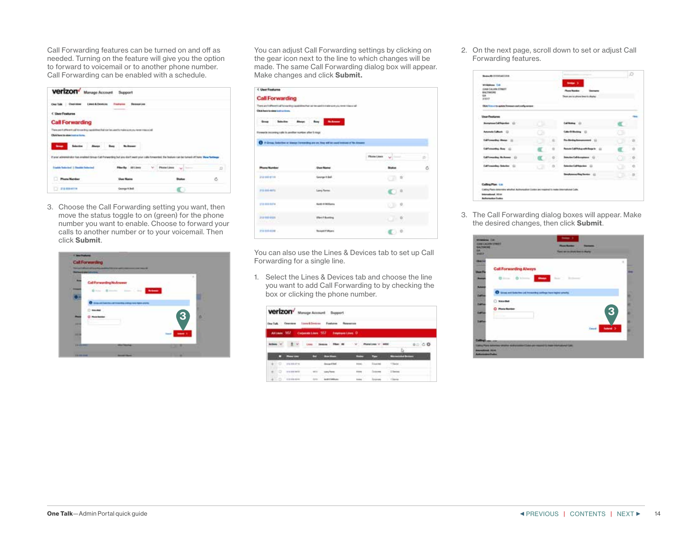Call Forwarding features can be turned on and off as needed. Turning on the feature will give you the option to forward to voicemail or to another phone number. Call Forwarding can be enabled with a schedule.



3. Choose the Call Forwarding setting you want, then move the status toggle to on (green) for the phone number you want to enable. Choose to forward your calls to another number or to your voicemail. Then click Submit.



You can adjust Call Forwarding settings by clicking on the gear icon next to the line to which changes will be made. The same Call Forwarding dialog box will appear. Make changes and click Submit.

| < Unit Finaluma                                         |                                                                                                |                    |   |
|---------------------------------------------------------|------------------------------------------------------------------------------------------------|--------------------|---|
| <b>Call Forwarding</b>                                  |                                                                                                |                    |   |
|                                                         | There are that worst call for moving couplinhes that can be constituted as work who received a |                    |   |
| Child have to steer institutions.                       |                                                                                                |                    |   |
| The results in the constitution of the best constant    |                                                                                                |                    |   |
| <b>Great Saleston</b>                                   | About 17<br><b>Submitted</b><br><b>Bay 1</b>                                                   |                    |   |
| Forwards incoming calls in another number after 5 rings |                                                                                                |                    |   |
|                                                         |                                                                                                |                    |   |
|                                                         | <b>Q</b> If you, besteo a Awar Jonacing as at the effect services of this com-                 |                    |   |
|                                                         |                                                                                                |                    |   |
|                                                         |                                                                                                | <b>Phone Lines</b> |   |
|                                                         |                                                                                                |                    |   |
| <b>Phone Scrola</b><br><b><i>SERVICES</i></b>           | <b>Dans Marine</b>                                                                             |                    | õ |
| 212 048 8116                                            | George K.Sol.                                                                                  |                    |   |
|                                                         |                                                                                                |                    |   |
| alan k                                                  | ---                                                                                            |                    |   |
| <b>FULLER</b>                                           | Larry Terren                                                                                   |                    |   |
|                                                         |                                                                                                |                    |   |
| <b>STARBARDS</b>                                        | <b>Kultin &amp; Militaria</b>                                                                  |                    |   |
|                                                         | 3500000000                                                                                     |                    |   |
| <b>COURT STATIST</b>                                    |                                                                                                |                    |   |
| 2121038-0326<br>MATH ABBER                              | <b>Sheet Flooring</b><br><b>BUNITE</b>                                                         |                    |   |
| <b>DISSIMALM </b>                                       | <b>Bonatt F Wyers</b>                                                                          |                    |   |

You can also use the Lines & Devices tab to set up Call Forwarding for a single line.

1. Select the Lines & Devices tab and choose the line you want to add Call Forwarding to by checking the box or clicking the phone number.

| Verizon <sup>/</sup> Manage Account Support<br>Derful, Omnien tomkfinism Festern Reserve<br>Attam 107 consuming 107 importion 0 |                                                                                                    |
|---------------------------------------------------------------------------------------------------------------------------------|----------------------------------------------------------------------------------------------------|
| $\pm$ v<br>0.069<br><b>HARACE BEAM</b><br><b>Contractor</b>                                                                     | Company and the resource of the President State Pro-<br><b>THE R. P. LEWIS CO., LANSING, MICH.</b> |
| -<br><b>The State</b><br><b>STATISTICS</b><br>Property come:                                                                    |                                                                                                    |
| domestic last<br>de CI passero<br>1 Sadan<br><b>STAND</b>                                                                       |                                                                                                    |
| ALC: U.S.<br><b>CENT DESCRIPTION</b>                                                                                            |                                                                                                    |
|                                                                                                                                 |                                                                                                    |

2. On the next page, scroll down to set or adjust Call Forwarding features.

| <b>Milddepa CAL</b><br><b>CORA CALVIN STREET</b><br><b>BAZTIMORE</b> |       | <b>Solder 3</b><br><b>Rose Ranker</b>    |                |
|----------------------------------------------------------------------|-------|------------------------------------------|----------------|
| <b>GALLON</b><br><b>MAILT</b>                                        |       | lease and intuitions lesso in allapted   |                |
| Thick financial by spikits formula and configure                     |       |                                          |                |
| <b>Unior Features</b>                                                |       |                                          |                |
| Annatome Californian (2)                                             |       | <b>Call Booking</b>                      |                |
| Annak (akak G)                                                       |       | <b>Mar Of Shoking</b>                    |                |
| Californialing Motor 111                                             |       | For Alerton, Announcement                |                |
| California Roy (2)                                                   |       | <b>Rosen California with Regards</b> (2) |                |
| Californialing McAusen (1)                                           |       | <b>Below Californians (C)</b>            |                |
| Californialing Scholar (2)                                           | $0 -$ | Scientist Californian (2)                | o              |
|                                                                      |       | (i) advertisement                        | $\overline{a}$ |
| Calling Plan Ltd.                                                    |       |                                          |                |

3. The Call Forwarding dialog boxes will appear. Make the desired changes, then click Submit.

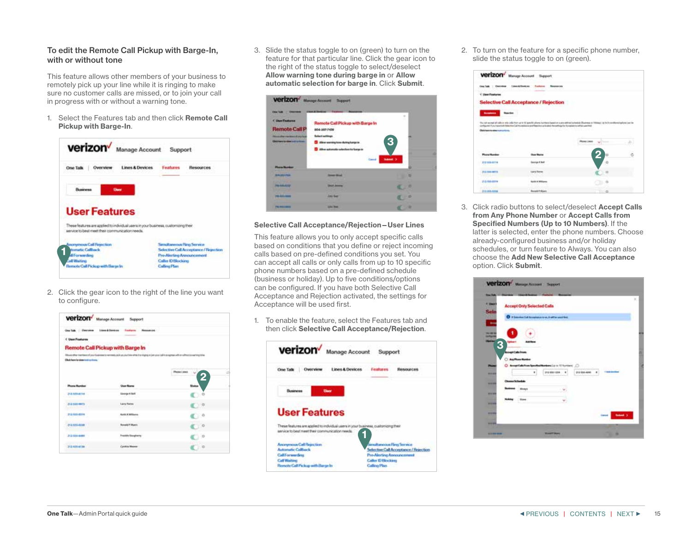## <span id="page-14-0"></span>To edit the Remote Call Pickup with Barge-In, with or without tone

This feature allows other members of your business to remotely pick up your line while it is ringing to make sure no customer calls are missed, or to join your call in progress with or without a warning tone.

1. Select the Features tab and then click Remote Call Pickup with Barge-In.



2. Click the gear icon to the right of the line you want to configure.

| One Talk : Oversion : blood Dovison               | fastern Research                                                                                                                                                |                |
|---------------------------------------------------|-----------------------------------------------------------------------------------------------------------------------------------------------------------------|----------------|
| <b>C User Fostures</b>                            |                                                                                                                                                                 |                |
|                                                   | <b>Remote Call Pickup with Barge In</b>                                                                                                                         |                |
|                                                   | Efficed offer Feetback of your follower to narrows clock up your bile within it is stights of periodic platinum and in express with an editorial anarrong tools |                |
| Clash have be show took on those.                 |                                                                                                                                                                 |                |
|                                                   |                                                                                                                                                                 | Passe Lines    |
|                                                   |                                                                                                                                                                 |                |
| <b>Phone Humber</b>                               | <b>United Mines</b>                                                                                                                                             |                |
| 2124054154<br><b>STERN STAR</b>                   | Sierrige 4 Self                                                                                                                                                 |                |
| 212-522-0073<br><b>Contract Contract Contract</b> | <b>Lang Tarres</b>                                                                                                                                              | C 199          |
| 212-523-0224                                      |                                                                                                                                                                 |                |
|                                                   | Sat) Callians                                                                                                                                                   | ; ; ; o        |
| <b>PO \$55-8000</b>                               | <b>Rotestal F.Muerts</b>                                                                                                                                        | $\sim$ 0       |
|                                                   | <b>Trauballa Giorgherts</b>                                                                                                                                     | $\overline{D}$ |
| P13 605-8488                                      |                                                                                                                                                                 |                |

3. Slide the status toggle to on (green) to turn on the feature for that particular line. Click the gear icon to the right of the status toggle to select/deselect Allow warning tone during barge in or Allow automatic selection for barge in. Click Submit.



#### Selective Call Acceptance/Rejection—User Lines

This feature allows you to only accept specific calls based on conditions that you define or reject incoming calls based on pre-defined conditions you set. You can accept all calls or only calls from up to 10 specific phone numbers based on a pre-defined schedule (business or holiday). Up to five conditions/options can be configured. If you have both Selective Call Acceptance and Rejection activated, the settings for Acceptance will be used first.

1. To enable the feature, select the Features tab and then click Selective Call Acceptance/Rejection.



2. To turn on the feature for a specific phone number, slide the status toggle to on (green).

| <b>Clarate Taster</b><br>Ouststates    | 1 Annie & Ricchiano<br>Fonliates<br><b><i><u>Republicancia e</u></i></b>                                                                                                                                                                                                                         |                      |  |
|----------------------------------------|--------------------------------------------------------------------------------------------------------------------------------------------------------------------------------------------------------------------------------------------------------------------------------------------------|----------------------|--|
| < UnerFortures                         |                                                                                                                                                                                                                                                                                                  |                      |  |
|                                        | <b>Selective Call Acceptance / Rejection</b>                                                                                                                                                                                                                                                     |                      |  |
|                                        |                                                                                                                                                                                                                                                                                                  |                      |  |
| <b>Accelerate</b>                      |                                                                                                                                                                                                                                                                                                  |                      |  |
|                                        |                                                                                                                                                                                                                                                                                                  |                      |  |
|                                        | The light people of calls or only only them up to 10 people player increase fundal on a pre-collected defined in Players to Fridaya's Light is to configurate<br>composed if you have built these time but inconstructive preditional and using the seattering for homestering well as used that |                      |  |
| <b>Club hare to also instructions.</b> | 어때 지원 정신 일이 없어요. 아래의 치역을                                                                                                                                                                                                                                                                         |                      |  |
| 21 P.UR                                |                                                                                                                                                                                                                                                                                                  |                      |  |
|                                        |                                                                                                                                                                                                                                                                                                  | <b>Phone (Inch.)</b> |  |
|                                        |                                                                                                                                                                                                                                                                                                  |                      |  |
| 202103-0119                            |                                                                                                                                                                                                                                                                                                  |                      |  |
| 212,544,6473<br><b>COUNTY</b>          |                                                                                                                                                                                                                                                                                                  |                      |  |

3. Click radio buttons to select/deselect **Accept Calls** from Any Phone Number or Accept Calls from Specified Numbers (Up to 10 Numbers). If the latter is selected, enter the phone numbers. Choose already-configured business and/or holiday schedules, or turn feature to Always. You can also choose the Add New Selective Call Acceptance option. Click Submit.